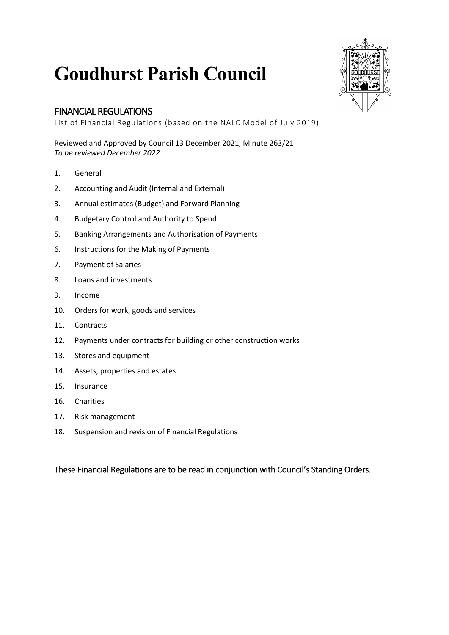# **Goudhurst Parish Council**

#### FINANCIAL REGULATIONS

List of Financial Regulations (based on the NALC Model of July 2019)

Reviewed and Approved by Council 13 December 2021, Minute 263/21 *To be reviewed December 2022*

- 1. General
- 2. Accounting and Audit (Internal and External)
- 3. Annual estimates (Budget) and Forward Planning
- 4. Budgetary Control and Authority to Spend
- 5. Banking Arrangements and Authorisation of Payments
- 6. Instructions for the Making of Payments
- 7. Payment of Salaries
- 8. Loans and investments
- 9. Income
- 10. Orders for work, goods and services
- 11. Contracts
- 12. Payments under contracts for building or other construction works
- 13. Stores and equipment
- 14. Assets, properties and estates
- 15. Insurance
- 16. Charities
- 17. Risk management
- 18. Suspension and revision of Financial Regulations

These Financial Regulations are to be read in conjunction with Council's Standing Orders.

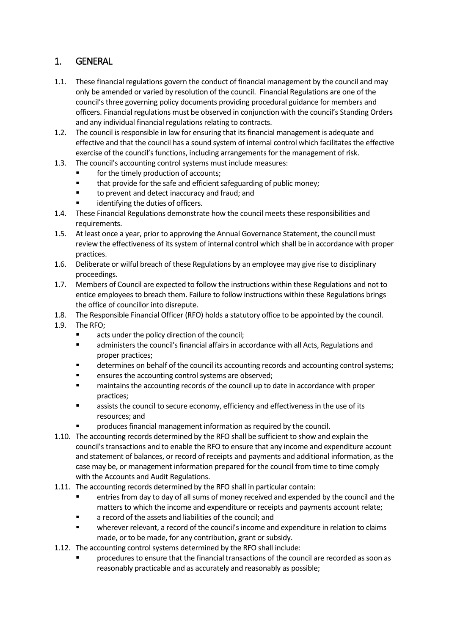#### 1. GENERAL

- 1.1. These financial regulations govern the conduct of financial management by the council and may only be amended or varied by resolution of the council. Financial Regulations are one of the council's three governing policy documents providing procedural guidance for members and officers. Financial regulations must be observed in conjunction with the council's Standing Orders and any individual financial regulations relating to contracts.
- 1.2. The council is responsible in law for ensuring that its financial management is adequate and effective and that the council has a sound system of internal control which facilitates the effective exercise of the council's functions, including arrangements for the management of risk.
- 1.3. The council's accounting control systems must include measures:
	- for the timely production of accounts;
	- that provide for the safe and efficient safeguarding of public money;
	- to prevent and detect inaccuracy and fraud; and
	- identifying the duties of officers.
- 1.4. These Financial Regulations demonstrate how the council meets these responsibilities and requirements.
- 1.5. At least once a year, prior to approving the Annual Governance Statement, the council must review the effectiveness of its system of internal control which shall be in accordance with proper practices.
- 1.6. Deliberate or wilful breach of these Regulations by an employee may give rise to disciplinary proceedings.
- 1.7. Members of Council are expected to follow the instructions within these Regulations and not to entice employees to breach them. Failure to follow instructions within these Regulations brings the office of councillor into disrepute.
- 1.8. The Responsible Financial Officer (RFO) holds a statutory office to be appointed by the council.
- 1.9. The RFO;
	- acts under the policy direction of the council;
	- administers the council's financial affairs in accordance with all Acts, Regulations and proper practices;
	- determines on behalf of the council its accounting records and accounting control systems;
	- ensures the accounting control systems are observed;
	- maintains the accounting records of the council up to date in accordance with proper practices;
	- assists the council to secure economy, efficiency and effectiveness in the use of its resources; and
	- produces financial management information as required by the council.
- 1.10. The accounting records determined by the RFO shall be sufficient to show and explain the council's transactions and to enable the RFO to ensure that any income and expenditure account and statement of balances, or record of receipts and payments and additional information, as the case may be, or management information prepared for the council from time to time comply with the Accounts and Audit Regulations.
- 1.11. The accounting records determined by the RFO shall in particular contain:
	- entries from day to day of all sums of money received and expended by the council and the matters to which the income and expenditure or receipts and payments account relate;
	- a record of the assets and liabilities of the council; and
	- wherever relevant, a record of the council's income and expenditure in relation to claims made, or to be made, for any contribution, grant or subsidy.
- 1.12. The accounting control systems determined by the RFO shall include:
	- procedures to ensure that the financial transactions of the council are recorded as soon as reasonably practicable and as accurately and reasonably as possible;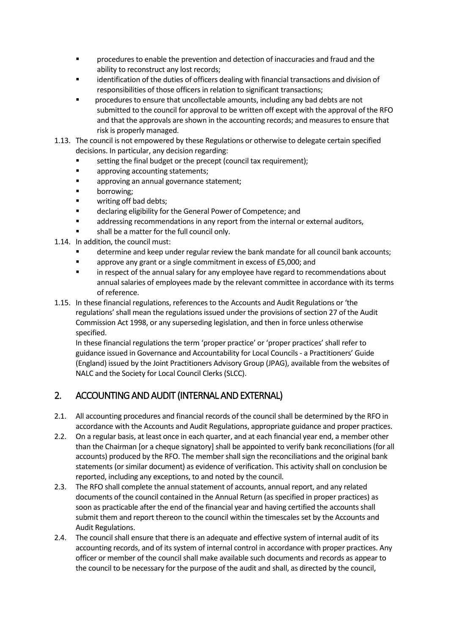- procedures to enable the prevention and detection of inaccuracies and fraud and the ability to reconstruct any lost records;
- identification of the duties of officers dealing with financial transactions and division of responsibilities of those officers in relation to significant transactions;
- procedures to ensure that uncollectable amounts, including any bad debts are not submitted to the council for approval to be written off except with the approval of the RFO and that the approvals are shown in the accounting records; and measures to ensure that risk is properly managed.
- 1.13. The council is not empowered by these Regulations or otherwise to delegate certain specified decisions. In particular, any decision regarding:
	- setting the final budget or the precept (council tax requirement);
	- approving accounting statements;
	- **Example 2** approving an annual governance statement;
	- borrowing;
	- writing off bad debts;
	- declaring eligibility for the General Power of Competence; and
	- addressing recommendations in any report from the internal or external auditors,
	- shall be a matter for the full council only.
- 1.14. In addition, the council must:
	- determine and keep under regular review the bank mandate for all council bank accounts;
	- approve any grant or a single commitment in excess of £5,000; and
	- **In respect of the annual salary for any employee have regard to recommendations about** annual salaries of employees made by the relevant committee in accordance with its terms of reference.
- 1.15. In these financial regulations, references to the Accounts and Audit Regulations or 'the regulations' shall mean the regulations issued under the provisions of section 27 of the Audit Commission Act 1998, or any superseding legislation, and then in force unless otherwise specified.

In these financial regulations the term 'proper practice' or 'proper practices' shall refer to guidance issued in Governance and Accountability for Local Councils - a Practitioners' Guide (England) issued by the Joint Practitioners Advisory Group (JPAG), available from the websites of NALC and the Society for Local Council Clerks (SLCC).

#### 2. ACCOUNTING AND AUDIT (INTERNAL AND EXTERNAL)

- 2.1. All accounting procedures and financial records of the council shall be determined by the RFO in accordance with the Accounts and Audit Regulations, appropriate guidance and proper practices.
- 2.2. On a regular basis, at least once in each quarter, and at each financial year end, a member other than the Chairman [or a cheque signatory] shall be appointed to verify bank reconciliations (for all accounts) produced by the RFO. The member shall sign the reconciliations and the original bank statements (or similar document) as evidence of verification. This activity shall on conclusion be reported, including any exceptions, to and noted by the council.
- 2.3. The RFO shall complete the annual statement of accounts, annual report, and any related documents of the council contained in the Annual Return (as specified in proper practices) as soon as practicable after the end of the financial year and having certified the accounts shall submit them and report thereon to the council within the timescales set by the Accounts and Audit Regulations.
- 2.4. The council shall ensure that there is an adequate and effective system of internal audit of its accounting records, and of its system of internal control in accordance with proper practices. Any officer or member of the council shall make available such documents and records as appear to the council to be necessary for the purpose of the audit and shall, as directed by the council,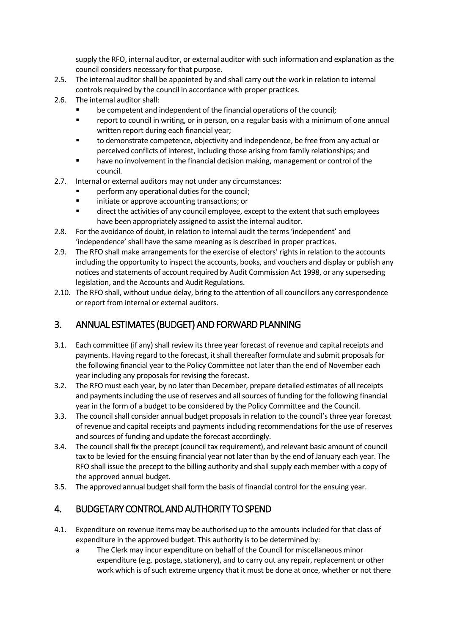supply the RFO, internal auditor, or external auditor with such information and explanation as the council considers necessary for that purpose.

- 2.5. The internal auditor shall be appointed by and shall carry out the work in relation to internal controls required by the council in accordance with proper practices.
- 2.6. The internal auditor shall:
	- be competent and independent of the financial operations of the council;
	- report to council in writing, or in person, on a regular basis with a minimum of one annual written report during each financial year;
	- to demonstrate competence, objectivity and independence, be free from any actual or perceived conflicts of interest, including those arising from family relationships; and
	- have no involvement in the financial decision making, management or control of the council.
- 2.7. Internal or external auditors may not under any circumstances:
	- perform any operational duties for the council;
	- initiate or approve accounting transactions; or
	- direct the activities of any council employee, except to the extent that such employees have been appropriately assigned to assist the internal auditor.
- 2.8. For the avoidance of doubt, in relation to internal audit the terms 'independent' and 'independence' shall have the same meaning as is described in proper practices.
- 2.9. The RFO shall make arrangements for the exercise of electors' rights in relation to the accounts including the opportunity to inspect the accounts, books, and vouchers and display or publish any notices and statements of account required by Audit Commission Act 1998, or any superseding legislation, and the Accounts and Audit Regulations.
- 2.10. The RFO shall, without undue delay, bring to the attention of all councillors any correspondence or report from internal or external auditors.

## 3. ANNUAL ESTIMATES (BUDGET) AND FORWARD PLANNING

- 3.1. Each committee (if any) shall review its three year forecast of revenue and capital receipts and payments. Having regard to the forecast, it shall thereafter formulate and submit proposals for the following financial year to the Policy Committee not later than the end of November each year including any proposals for revising the forecast.
- 3.2. The RFO must each year, by no later than December, prepare detailed estimates of all receipts and payments including the use of reserves and all sources of funding for the following financial year in the form of a budget to be considered by the Policy Committee and the Council.
- 3.3. The council shall consider annual budget proposals in relation to the council's three year forecast of revenue and capital receipts and payments including recommendations for the use of reserves and sources of funding and update the forecast accordingly.
- 3.4. The council shall fix the precept (council tax requirement), and relevant basic amount of council tax to be levied for the ensuing financial year not later than by the end of January each year. The RFO shall issue the precept to the billing authority and shall supply each member with a copy of the approved annual budget.
- 3.5. The approved annual budget shall form the basis of financial control for the ensuing year.

#### 4. BUDGETARY CONTROL AND AUTHORITY TO SPEND

- 4.1. Expenditure on revenue items may be authorised up to the amounts included for that class of expenditure in the approved budget. This authority is to be determined by:
	- a The Clerk may incur expenditure on behalf of the Council for miscellaneous minor expenditure (e.g. postage, stationery), and to carry out any repair, replacement or other work which is of such extreme urgency that it must be done at once, whether or not there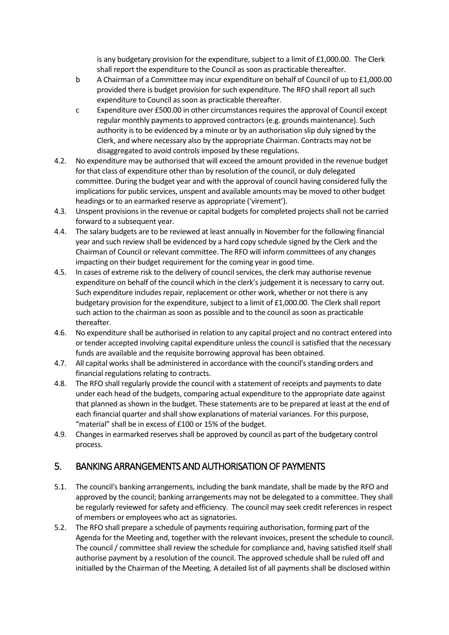is any budgetary provision for the expenditure, subject to a limit of £1,000.00. The Clerk shall report the expenditure to the Council as soon as practicable thereafter.

- b A Chairman of a Committee may incur expenditure on behalf of Council of up to £1,000.00 provided there is budget provision for such expenditure. The RFO shall report all such expenditure to Council as soon as practicable thereafter.
- c Expenditure over £500.00 in other circumstances requires the approval of Council except regular monthly payments to approved contractors (e.g. grounds maintenance). Such authority is to be evidenced by a minute or by an authorisation slip duly signed by the Clerk, and where necessary also by the appropriate Chairman. Contracts may not be disaggregated to avoid controls imposed by these regulations.
- 4.2. No expenditure may be authorised that will exceed the amount provided in the revenue budget for that class of expenditure other than by resolution of the council, or duly delegated committee. During the budget year and with the approval of council having considered fully the implications for public services, unspent and available amounts may be moved to other budget headings or to an earmarked reserve as appropriate ('virement').
- 4.3. Unspent provisions in the revenue or capital budgets for completed projects shall not be carried forward to a subsequent year.
- 4.4. The salary budgets are to be reviewed at least annually in November for the following financial year and such review shall be evidenced by a hard copy schedule signed by the Clerk and the Chairman of Council or relevant committee. The RFO will inform committees of any changes impacting on their budget requirement for the coming year in good time.
- 4.5. In cases of extreme risk to the delivery of council services, the clerk may authorise revenue expenditure on behalf of the council which in the clerk's judgement it is necessary to carry out. Such expenditure includes repair, replacement or other work, whether or not there is any budgetary provision for the expenditure, subject to a limit of £1,000.00. The Clerk shall report such action to the chairman as soon as possible and to the council as soon as practicable thereafter.
- 4.6. No expenditure shall be authorised in relation to any capital project and no contract entered into or tender accepted involving capital expenditure unless the council is satisfied that the necessary funds are available and the requisite borrowing approval has been obtained.
- 4.7. All capital works shall be administered in accordance with the council's standing orders and financial regulations relating to contracts.
- 4.8. The RFO shall regularly provide the council with a statement of receipts and payments to date under each head of the budgets, comparing actual expenditure to the appropriate date against that planned as shown in the budget. These statements are to be prepared at least at the end of each financial quarter and shall show explanations of material variances. For this purpose, "material" shall be in excess of £100 or 15% of the budget.
- 4.9. Changes in earmarked reserves shall be approved by council as part of the budgetary control process.

#### 5. BANKING ARRANGEMENTS AND AUTHORISATION OF PAYMENTS

- 5.1. The council's banking arrangements, including the bank mandate, shall be made by the RFO and approved by the council; banking arrangements may not be delegated to a committee. They shall be regularly reviewed for safety and efficiency. The council may seek credit references in respect of members or employees who act as signatories.
- 5.2. The RFO shall prepare a schedule of payments requiring authorisation, forming part of the Agenda for the Meeting and, together with the relevant invoices, present the schedule to council. The council / committee shall review the schedule for compliance and, having satisfied itself shall authorise payment by a resolution of the council. The approved schedule shall be ruled off and initialled by the Chairman of the Meeting. A detailed list of all payments shall be disclosed within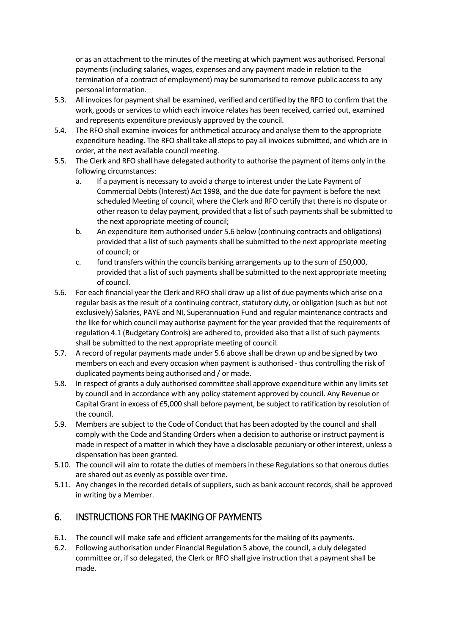or as an attachment to the minutes of the meeting at which payment was authorised. Personal payments (including salaries, wages, expenses and any payment made in relation to the termination of a contract of employment) may be summarised to remove public access to any personal information.

- 5.3. All invoices for payment shall be examined, verified and certified by the RFO to confirm that the work, goods or services to which each invoice relates has been received, carried out, examined and represents expenditure previously approved by the council.
- 5.4. The RFO shall examine invoices for arithmetical accuracy and analyse them to the appropriate expenditure heading. The RFO shall take all steps to pay all invoices submitted, and which are in order, at the next available council meeting.
- 5.5. The Clerk and RFO shall have delegated authority to authorise the payment of items only in the following circumstances:
	- a. If a payment is necessary to avoid a charge to interest under the Late Payment of Commercial Debts (Interest) Act 1998, and the due date for payment is before the next scheduled Meeting of council, where the Clerk and RFO certify that there is no dispute or other reason to delay payment, provided that a list of such payments shall be submitted to the next appropriate meeting of council;
	- b. An expenditure item authorised under 5.6 below (continuing contracts and obligations) provided that a list of such payments shall be submitted to the next appropriate meeting of council; or
	- c. fund transfers within the councils banking arrangements up to the sum of £50,000, provided that a list of such payments shall be submitted to the next appropriate meeting of council.
- 5.6. For each financial year the Clerk and RFO shall draw up a list of due payments which arise on a regular basis as the result of a continuing contract, statutory duty, or obligation (such as but not exclusively) Salaries, PAYE and NI, Superannuation Fund and regular maintenance contracts and the like for which council may authorise payment for the year provided that the requirements of regulation 4.1 (Budgetary Controls) are adhered to, provided also that a list of such payments shall be submitted to the next appropriate meeting of council.
- 5.7. A record of regular payments made under 5.6 above shall be drawn up and be signed by two members on each and every occasion when payment is authorised - thus controlling the risk of duplicated payments being authorised and / or made.
- 5.8. In respect of grants a duly authorised committee shall approve expenditure within any limits set by council and in accordance with any policy statement approved by council. Any Revenue or Capital Grant in excess of £5,000 shall before payment, be subject to ratification by resolution of the council.
- 5.9. Members are subject to the Code of Conduct that has been adopted by the council and shall comply with the Code and Standing Orders when a decision to authorise or instruct payment is made in respect of a matter in which they have a disclosable pecuniary or other interest, unless a dispensation has been granted.
- 5.10. The council will aim to rotate the duties of members in these Regulations so that onerous duties are shared out as evenly as possible over time.
- 5.11. Any changes in the recorded details of suppliers, such as bank account records, shall be approved in writing by a Member.

#### 6. INSTRUCTIONS FOR THE MAKING OF PAYMENTS

- 6.1. The council will make safe and efficient arrangements for the making of its payments.
- 6.2. Following authorisation under Financial Regulation 5 above, the council, a duly delegated committee or, if so delegated, the Clerk or RFO shall give instruction that a payment shall be made.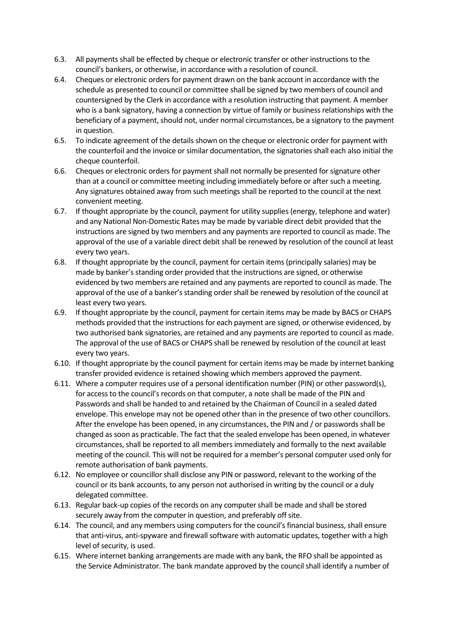- 6.3. All payments shall be effected by cheque or electronic transfer or other instructions to the council's bankers, or otherwise, in accordance with a resolution of council.
- 6.4. Cheques or electronic orders for payment drawn on the bank account in accordance with the schedule as presented to council or committee shall be signed by two members of council and countersigned by the Clerk in accordance with a resolution instructing that payment. A member who is a bank signatory, having a connection by virtue of family or business relationships with the beneficiary of a payment, should not, under normal circumstances, be a signatory to the payment in question.
- 6.5. To indicate agreement of the details shown on the cheque or electronic order for payment with the counterfoil and the invoice or similar documentation, the signatories shall each also initial the cheque counterfoil.
- 6.6. Cheques or electronic orders for payment shall not normally be presented for signature other than at a council or committee meeting including immediately before or after such a meeting. Any signatures obtained away from such meetings shall be reported to the council at the next convenient meeting.
- 6.7. If thought appropriate by the council, payment for utility supplies (energy, telephone and water) and any National Non-Domestic Rates may be made by variable direct debit provided that the instructions are signed by two members and any payments are reported to council as made. The approval of the use of a variable direct debit shall be renewed by resolution of the council at least every two years.
- 6.8. If thought appropriate by the council, payment for certain items (principally salaries) may be made by banker's standing order provided that the instructions are signed, or otherwise evidenced by two members are retained and any payments are reported to council as made. The approval of the use of a banker's standing order shall be renewed by resolution of the council at least every two years.
- 6.9. If thought appropriate by the council, payment for certain items may be made by BACS or CHAPS methods provided that the instructions for each payment are signed, or otherwise evidenced, by two authorised bank signatories, are retained and any payments are reported to council as made. The approval of the use of BACS or CHAPS shall be renewed by resolution of the council at least every two years.
- 6.10. If thought appropriate by the council payment for certain items may be made by internet banking transfer provided evidence is retained showing which members approved the payment.
- 6.11. Where a computer requires use of a personal identification number (PIN) or other password(s), for access to the council's records on that computer, a note shall be made of the PIN and Passwords and shall be handed to and retained by the Chairman of Council in a sealed dated envelope. This envelope may not be opened other than in the presence of two other councillors. After the envelope has been opened, in any circumstances, the PIN and / or passwords shall be changed as soon as practicable. The fact that the sealed envelope has been opened, in whatever circumstances, shall be reported to all members immediately and formally to the next available meeting of the council. This will not be required for a member's personal computer used only for remote authorisation of bank payments.
- 6.12. No employee or councillor shall disclose any PIN or password, relevant to the working of the council or its bank accounts, to any person not authorised in writing by the council or a duly delegated committee.
- 6.13. Regular back-up copies of the records on any computer shall be made and shall be stored securely away from the computer in question, and preferably off site.
- 6.14. The council, and any members using computers for the council's financial business, shall ensure that anti-virus, anti-spyware and firewall software with automatic updates, together with a high level of security, is used.
- 6.15. Where internet banking arrangements are made with any bank, the RFO shall be appointed as the Service Administrator. The bank mandate approved by the council shall identify a number of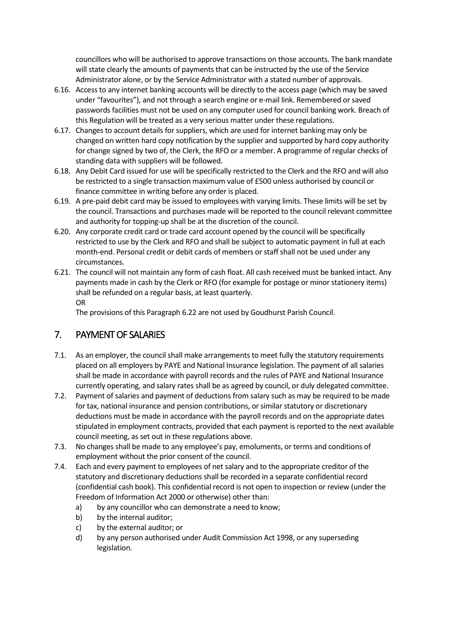councillors who will be authorised to approve transactions on those accounts. The bank mandate will state clearly the amounts of payments that can be instructed by the use of the Service Administrator alone, or by the Service Administrator with a stated number of approvals.

- 6.16. Access to any internet banking accounts will be directly to the access page (which may be saved under "favourites"), and not through a search engine or e-mail link. Remembered or saved passwords facilities must not be used on any computer used for council banking work. Breach of this Regulation will be treated as a very serious matter under these regulations.
- 6.17. Changes to account details for suppliers, which are used for internet banking may only be changed on written hard copy notification by the supplier and supported by hard copy authority for change signed by two of, the Clerk, the RFO or a member. A programme of regular checks of standing data with suppliers will be followed.
- 6.18. Any Debit Card issued for use will be specifically restricted to the Clerk and the RFO and will also be restricted to a single transaction maximum value of £500 unless authorised by council or finance committee in writing before any order is placed.
- 6.19. A pre-paid debit card may be issued to employees with varying limits. These limits will be set by the council. Transactions and purchases made will be reported to the council relevant committee and authority for topping-up shall be at the discretion of the council.
- 6.20. Any corporate credit card or trade card account opened by the council will be specifically restricted to use by the Clerk and RFO and shall be subject to automatic payment in full at each month-end. Personal credit or debit cards of members or staff shall not be used under any circumstances.
- 6.21. The council will not maintain any form of cash float. All cash received must be banked intact. Any payments made in cash by the Clerk or RFO (for example for postage or minor stationery items) shall be refunded on a regular basis, at least quarterly. OR

The provisions of this Paragraph 6.22 are not used by Goudhurst Parish Council.

#### 7. PAYMENT OF SALARIES

- 7.1. As an employer, the council shall make arrangements to meet fully the statutory requirements placed on all employers by PAYE and National Insurance legislation. The payment of all salaries shall be made in accordance with payroll records and the rules of PAYE and National Insurance currently operating, and salary rates shall be as agreed by council, or duly delegated committee.
- 7.2. Payment of salaries and payment of deductions from salary such as may be required to be made for tax, national insurance and pension contributions, or similar statutory or discretionary deductions must be made in accordance with the payroll records and on the appropriate dates stipulated in employment contracts, provided that each payment is reported to the next available council meeting, as set out in these regulations above.
- 7.3. No changes shall be made to any employee's pay, emoluments, or terms and conditions of employment without the prior consent of the council.
- 7.4. Each and every payment to employees of net salary and to the appropriate creditor of the statutory and discretionary deductions shall be recorded in a separate confidential record (confidential cash book). This confidential record is not open to inspection or review (under the Freedom of Information Act 2000 or otherwise) other than:
	- a) by any councillor who can demonstrate a need to know;
	- b) by the internal auditor;
	- c) by the external auditor; or
	- d) by any person authorised under Audit Commission Act 1998, or any superseding legislation.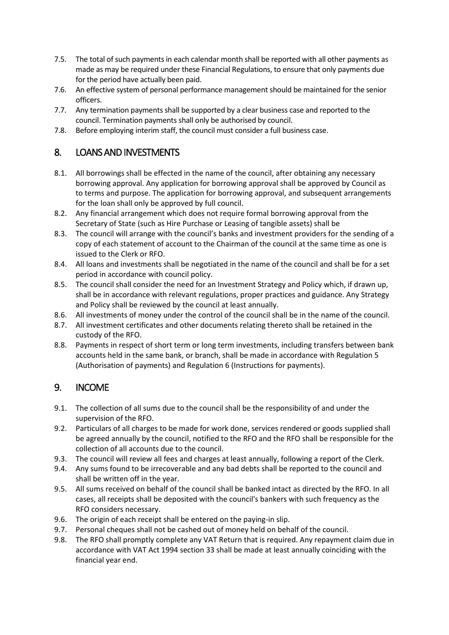- 7.5. The total of such payments in each calendar month shall be reported with all other payments as made as may be required under these Financial Regulations, to ensure that only payments due for the period have actually been paid.
- 7.6. An effective system of personal performance management should be maintained for the senior officers.
- 7.7. Any termination payments shall be supported by a clear business case and reported to the council. Termination payments shall only be authorised by council.
- 7.8. Before employing interim staff, the council must consider a full business case.

#### 8. LOANS AND INVESTMENTS

- 8.1. All borrowings shall be effected in the name of the council, after obtaining any necessary borrowing approval. Any application for borrowing approval shall be approved by Council as to terms and purpose. The application for borrowing approval, and subsequent arrangements for the loan shall only be approved by full council.
- 8.2. Any financial arrangement which does not require formal borrowing approval from the Secretary of State (such as Hire Purchase or Leasing of tangible assets) shall be
- 8.3. The council will arrange with the council's banks and investment providers for the sending of a copy of each statement of account to the Chairman of the council at the same time as one is issued to the Clerk or RFO.
- 8.4. All loans and investments shall be negotiated in the name of the council and shall be for a set period in accordance with council policy.
- 8.5. The council shall consider the need for an Investment Strategy and Policy which, if drawn up, shall be in accordance with relevant regulations, proper practices and guidance. Any Strategy and Policy shall be reviewed by the council at least annually.
- 8.6. All investments of money under the control of the council shall be in the name of the council.
- 8.7. All investment certificates and other documents relating thereto shall be retained in the custody of the RFO.
- 8.8. Payments in respect of short term or long term investments, including transfers between bank accounts held in the same bank, or branch, shall be made in accordance with Regulation 5 (Authorisation of payments) and Regulation 6 (Instructions for payments).

#### 9. INCOME

- 9.1. The collection of all sums due to the council shall be the responsibility of and under the supervision of the RFO.
- 9.2. Particulars of all charges to be made for work done, services rendered or goods supplied shall be agreed annually by the council, notified to the RFO and the RFO shall be responsible for the collection of all accounts due to the council.
- 9.3. The council will review all fees and charges at least annually, following a report of the Clerk.
- 9.4. Any sums found to be irrecoverable and any bad debts shall be reported to the council and shall be written off in the year.
- 9.5. All sums received on behalf of the council shall be banked intact as directed by the RFO. In all cases, all receipts shall be deposited with the council's bankers with such frequency as the RFO considers necessary.
- 9.6. The origin of each receipt shall be entered on the paying-in slip.
- 9.7. Personal cheques shall not be cashed out of money held on behalf of the council.
- 9.8. The RFO shall promptly complete any VAT Return that is required. Any repayment claim due in accordance with VAT Act 1994 section 33 shall be made at least annually coinciding with the financial year end.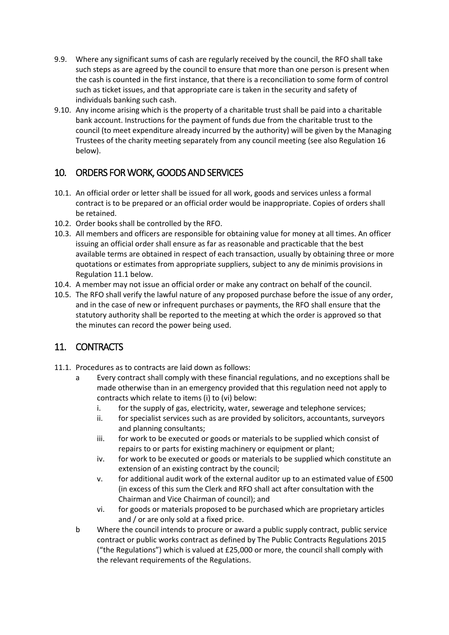- 9.9. Where any significant sums of cash are regularly received by the council, the RFO shall take such steps as are agreed by the council to ensure that more than one person is present when the cash is counted in the first instance, that there is a reconciliation to some form of control such as ticket issues, and that appropriate care is taken in the security and safety of individuals banking such cash.
- 9.10. Any income arising which is the property of a charitable trust shall be paid into a charitable bank account. Instructions for the payment of funds due from the charitable trust to the council (to meet expenditure already incurred by the authority) will be given by the Managing Trustees of the charity meeting separately from any council meeting (see also Regulation 16 below).

#### 10. ORDERS FOR WORK, GOODS AND SERVICES

- 10.1. An official order or letter shall be issued for all work, goods and services unless a formal contract is to be prepared or an official order would be inappropriate. Copies of orders shall be retained.
- 10.2. Order books shall be controlled by the RFO.
- 10.3. All members and officers are responsible for obtaining value for money at all times. An officer issuing an official order shall ensure as far as reasonable and practicable that the best available terms are obtained in respect of each transaction, usually by obtaining three or more quotations or estimates from appropriate suppliers, subject to any de minimis provisions in Regulation 11.1 below.
- 10.4. A member may not issue an official order or make any contract on behalf of the council.
- 10.5. The RFO shall verify the lawful nature of any proposed purchase before the issue of any order, and in the case of new or infrequent purchases or payments, the RFO shall ensure that the statutory authority shall be reported to the meeting at which the order is approved so that the minutes can record the power being used.

## 11. CONTRACTS

- 11.1. Procedures as to contracts are laid down as follows:
	- a Every contract shall comply with these financial regulations, and no exceptions shall be made otherwise than in an emergency provided that this regulation need not apply to contracts which relate to items (i) to (vi) below:
		- i. for the supply of gas, electricity, water, sewerage and telephone services;
		- ii. for specialist services such as are provided by solicitors, accountants, surveyors and planning consultants;
		- iii. for work to be executed or goods or materials to be supplied which consist of repairs to or parts for existing machinery or equipment or plant;
		- iv. for work to be executed or goods or materials to be supplied which constitute an extension of an existing contract by the council;
		- v. for additional audit work of the external auditor up to an estimated value of £500 (in excess of this sum the Clerk and RFO shall act after consultation with the Chairman and Vice Chairman of council); and
		- vi. for goods or materials proposed to be purchased which are proprietary articles and / or are only sold at a fixed price.
	- b Where the council intends to procure or award a public supply contract, public service contract or public works contract as defined by The Public Contracts Regulations 2015 ("the Regulations") which is valued at  $£25,000$  or more, the council shall comply with the relevant requirements of the Regulations.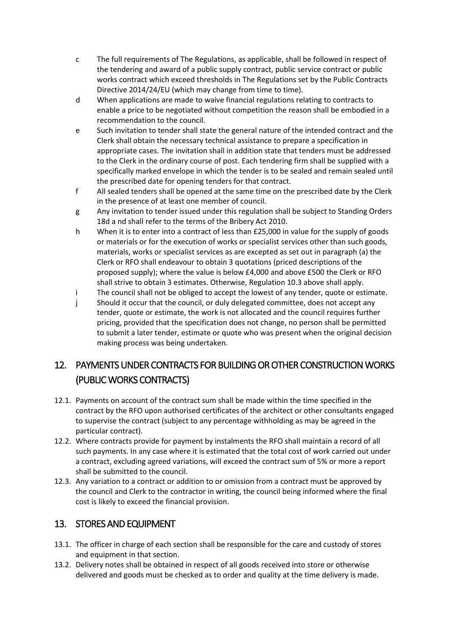- c The full requirements of The Regulations, as applicable, shall be followed in respect of the tendering and award of a public supply contract, public service contract or public works contract which exceed thresholds in The Regulations set by the Public Contracts Directive 2014/24/EU (which may change from time to time).
- d When applications are made to waive financial regulations relating to contracts to enable a price to be negotiated without competition the reason shall be embodied in a recommendation to the council.
- e Such invitation to tender shall state the general nature of the intended contract and the Clerk shall obtain the necessary technical assistance to prepare a specification in appropriate cases. The invitation shall in addition state that tenders must be addressed to the Clerk in the ordinary course of post. Each tendering firm shall be supplied with a specifically marked envelope in which the tender is to be sealed and remain sealed until the prescribed date for opening tenders for that contract.
- f All sealed tenders shall be opened at the same time on the prescribed date by the Clerk in the presence of at least one member of council.
- g Any invitation to tender issued under this regulation shall be subject to Standing Orders 18d a nd shall refer to the terms of the Bribery Act 2010.
- h When it is to enter into a contract of less than £25,000 in value for the supply of goods or materials or for the execution of works or specialist services other than such goods, materials, works or specialist services as are excepted as set out in paragraph (a) the Clerk or RFO shall endeavour to obtain 3 quotations (priced descriptions of the proposed supply); where the value is below £4,000 and above £500 the Clerk or RFO shall strive to obtain 3 estimates. Otherwise, Regulation 10.3 above shall apply.
- i The council shall not be obliged to accept the lowest of any tender, quote or estimate.
- j Should it occur that the council, or duly delegated committee, does not accept any tender, quote or estimate, the work is not allocated and the council requires further pricing, provided that the specification does not change, no person shall be permitted to submit a later tender, estimate or quote who was present when the original decision making process was being undertaken.

# 12. PAYMENTS UNDER CONTRACTS FOR BUILDING OR OTHER CONSTRUCTION WORKS (PUBLIC WORKS CONTRACTS)

- 12.1. Payments on account of the contract sum shall be made within the time specified in the contract by the RFO upon authorised certificates of the architect or other consultants engaged to supervise the contract (subject to any percentage withholding as may be agreed in the particular contract).
- 12.2. Where contracts provide for payment by instalments the RFO shall maintain a record of all such payments. In any case where it is estimated that the total cost of work carried out under a contract, excluding agreed variations, will exceed the contract sum of 5% or more a report shall be submitted to the council.
- 12.3. Any variation to a contract or addition to or omission from a contract must be approved by the council and Clerk to the contractor in writing, the council being informed where the final cost is likely to exceed the financial provision.

#### 13. STORES AND EQUIPMENT

- 13.1. The officer in charge of each section shall be responsible for the care and custody of stores and equipment in that section.
- 13.2. Delivery notes shall be obtained in respect of all goods received into store or otherwise delivered and goods must be checked as to order and quality at the time delivery is made.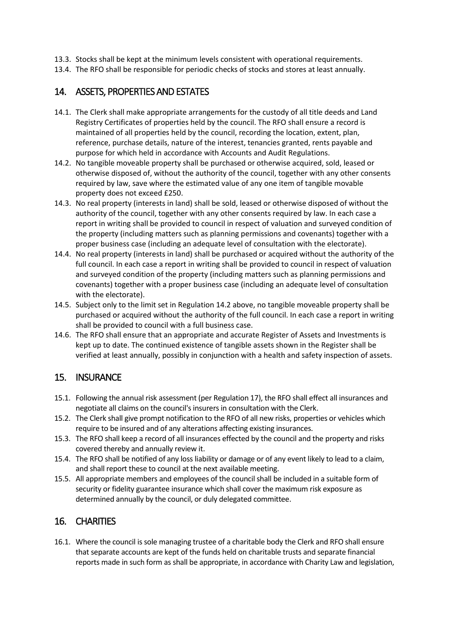- 13.3. Stocks shall be kept at the minimum levels consistent with operational requirements.
- 13.4. The RFO shall be responsible for periodic checks of stocks and stores at least annually.

#### 14. ASSETS, PROPERTIES AND ESTATES

- 14.1. The Clerk shall make appropriate arrangements for the custody of all title deeds and Land Registry Certificates of properties held by the council. The RFO shall ensure a record is maintained of all properties held by the council, recording the location, extent, plan, reference, purchase details, nature of the interest, tenancies granted, rents payable and purpose for which held in accordance with Accounts and Audit Regulations.
- 14.2. No tangible moveable property shall be purchased or otherwise acquired, sold, leased or otherwise disposed of, without the authority of the council, together with any other consents required by law, save where the estimated value of any one item of tangible movable property does not exceed £250.
- 14.3. No real property (interests in land) shall be sold, leased or otherwise disposed of without the authority of the council, together with any other consents required by law. In each case a report in writing shall be provided to council in respect of valuation and surveyed condition of the property (including matters such as planning permissions and covenants) together with a proper business case (including an adequate level of consultation with the electorate).
- 14.4. No real property (interests in land) shall be purchased or acquired without the authority of the full council. In each case a report in writing shall be provided to council in respect of valuation and surveyed condition of the property (including matters such as planning permissions and covenants) together with a proper business case (including an adequate level of consultation with the electorate).
- 14.5. Subject only to the limit set in Regulation 14.2 above, no tangible moveable property shall be purchased or acquired without the authority of the full council. In each case a report in writing shall be provided to council with a full business case.
- 14.6. The RFO shall ensure that an appropriate and accurate Register of Assets and Investments is kept up to date. The continued existence of tangible assets shown in the Register shall be verified at least annually, possibly in conjunction with a health and safety inspection of assets.

#### 15. INSURANCE

- 15.1. Following the annual risk assessment (per Regulation 17), the RFO shall effect all insurances and negotiate all claims on the council's insurers in consultation with the Clerk.
- 15.2. The Clerk shall give prompt notification to the RFO of all new risks, properties or vehicles which require to be insured and of any alterations affecting existing insurances.
- 15.3. The RFO shall keep a record of all insurances effected by the council and the property and risks covered thereby and annually review it.
- 15.4. The RFO shall be notified of any loss liability or damage or of any event likely to lead to a claim, and shall report these to council at the next available meeting.
- 15.5. All appropriate members and employees of the council shall be included in a suitable form of security or fidelity guarantee insurance which shall cover the maximum risk exposure as determined annually by the council, or duly delegated committee.

#### 16. CHARITIES

16.1. Where the council is sole managing trustee of a charitable body the Clerk and RFO shall ensure that separate accounts are kept of the funds held on charitable trusts and separate financial reports made in such form as shall be appropriate, in accordance with Charity Law and legislation,